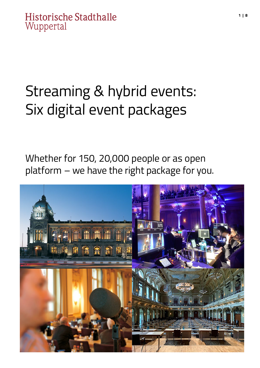## Streaming & hybrid events: Six digital event packages

Whether for 150, 20,000 people or as open platform – we have the right package for you.

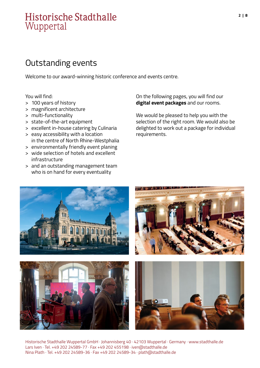## Outstanding events

Welcome to our award-winning historic conference and events centre.

You will find:

- > 100 years of history
- > magnificent architecture
- > multi-functionality
- > state-of-the-art equipment
- > excellent in-house catering by Culinaria
- > easy accessibility with a location in the centre of North Rhine-Westphalia
- > environmentally friendly event planing
- > wide selection of hotels and excellent infrastructure
- > and an outstanding management team who is on hand for every eventuality

On the following pages, you will find our **digital event packages** and our rooms.

We would be pleased to help you with the selection of the right room. We would also be delighted to work out a package for individual requirements.



Historische Stadthalle Wuppertal GmbH · Johannisberg 40 · 42103 Wuppertal · Germany · www.stadthalle.de Lars Iven · Tel. +49 202 24589-77 · Fax +49 202 455198 · iven@stadthalle.de Nina Plath · Tel. +49 202 24589-36 · Fax +49 202 24589-34 · plath@stadthalle.de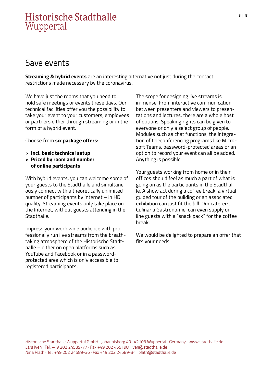#### Save events

**Streaming & hybrid events** are an interesting alternative not just during the contact restrictions made necessary by the coronavirus.

We have just the rooms that you need to hold safe meetings or events these days. Our technical facilities offer you the possibility to take your event to your customers, employees or partners either through streaming or in the form of a hybrid event.

Choose from **six package offers**:

- **> Incl. basic technical setup**
- **> Priced by room and number of online participants**

With hybrid events, you can welcome some of your guests to the Stadthalle and simultaneously connect with a theoretically unlimited number of participants by Internet – in HD quality. Streaming events only take place on the Internet, without guests attending in the Stadthalle.

Impress your worldwide audience with professionally run live streams from the breathtaking atmosphere of the Historische Stadthalle – either on open platforms such as YouTube and Facebook or in a passwordprotected area which is only accessible to registered participants.

The scope for designing live streams is immense. From interactive communication between presenters and viewers to presentations and lectures, there are a whole host of options. Speaking rights can be given to everyone or only a select group of people. Modules such as chat functions, the integration of teleconferencing programs like Microsoft Teams, password-protected areas or an option to record your event can all be added. Anything is possible.

Your guests working from home or in their offices should feel as much a part of what is going on as the participants in the Stadthalle. A show act during a coffee break, a virtual guided tour of the building or an associated exhibition can just fit the bill. Our caterers, Culinaria Gastronomie, can even supply online guests with a "snack pack" for the coffee break.

We would be delighted to prepare an offer that fits your needs.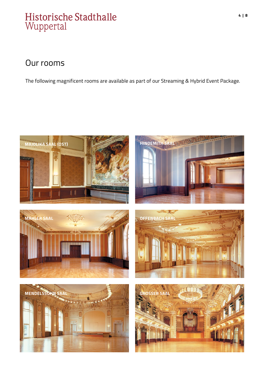#### Our rooms

The following magnificent rooms are available as part of our Streaming & Hybrid Event Package.

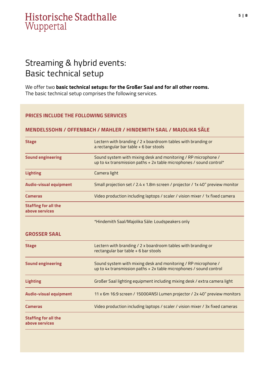## Streaming & hybrid events: Basic technical setup

We offer two **basic technical setups: for the Großer Saal and for all other rooms.** The basic technical setup comprises the following services.

#### **PRICES INCLUDE THE FOLLOWING SERVICES**

#### **MENDELSSOHN / OFFENBACH / MAHLER / HINDEMITH SAAL / MAJOLIKA SÄLE**

| <b>Stage</b>                                  | Lectern with branding / 2 x boardroom tables with branding or<br>a rectangular bar table + 6 bar stools                               |  |  |
|-----------------------------------------------|---------------------------------------------------------------------------------------------------------------------------------------|--|--|
| <b>Sound engineering</b>                      | Sound system with mixing desk and monitoring / RP microphone /<br>up to 4x transmission paths + 2x table microphones / sound control* |  |  |
| <b>Lighting</b>                               | Camera light                                                                                                                          |  |  |
| <b>Audio-visual equipment</b>                 | Small projection set / 2.4 x 1.8m screen / projector / 1x 40" preview monitor                                                         |  |  |
| Cameras                                       | Video production including laptops / scaler / vision mixer / 1x fixed camera                                                          |  |  |
| <b>Staffing for all the</b><br>above services |                                                                                                                                       |  |  |
|                                               | *Hindemith Saal/Majolika Säle: Loudspeakers only                                                                                      |  |  |
| <b>GROSSER SAAL</b>                           |                                                                                                                                       |  |  |
| <b>Stage</b>                                  | Lectern with branding / 2 x boardroom tables with branding or<br>rectangular bar table + 6 bar stools                                 |  |  |
| <b>Sound engineering</b>                      | Sound system with mixing desk and monitoring / RP microphone /<br>up to 4x transmission paths + 2x table microphones / sound control  |  |  |
| <b>Lighting</b>                               | Großer Saal lighting equipment including mixing desk / extra camera light                                                             |  |  |
| <b>Audio-visual equipment</b>                 | 11 x 6m 16:9 screen / 15000ANSI Lumen projector / 2x 40" preview monitors                                                             |  |  |
| Cameras                                       | Video production including laptops / scaler / vision mixer / 3x fixed cameras                                                         |  |  |
| <b>Staffing for all the</b><br>above services |                                                                                                                                       |  |  |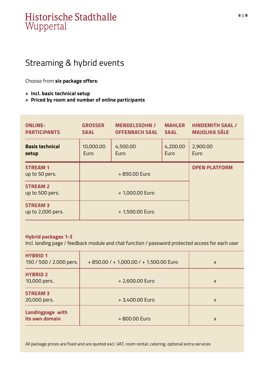## Streaming & hybrid events

Choose from **six package offers**:

- **> Incl. basic technical setup**
- **> Priced by room and number of online participants**

| <b>ONLINE-</b><br><b>PARTICIPANTS</b> | <b>GROSSER</b><br><b>SAAL</b> | <b>MENDELSSOHN /</b><br><b>OFFENBACH SAAL</b> | <b>MAHLER</b><br><b>SAAL</b> | <b>HINDEMITH SAAL /</b><br><b>MAJOLIKA SÄLE</b> |
|---------------------------------------|-------------------------------|-----------------------------------------------|------------------------------|-------------------------------------------------|
| <b>Basis technical</b><br>setup       | 10,000.00<br>Euro             | 4,500.00<br>Euro                              | 4,200.00<br>Euro             | 2,900.00<br>Euro                                |
| <b>STREAM 1</b><br>up to 50 pers.     |                               | +850.00 Euro                                  |                              | <b>OPEN PLATFORM</b>                            |
| <b>STREAM 2</b><br>up to 500 pers.    |                               | + 1,000.00 Euro                               |                              |                                                 |
| <b>STREAM 3</b><br>up to 2,000 pers.  |                               | + 1,500.00 Euro                               |                              |                                                 |

#### **Hybrid packages 1-3**

Incl. landing page / feedback module and chat function / password protected access for each user

| <b>HYBRID 1</b><br>150 / 500 / 2.000 pers. | +850.00 / +1,000.00 / +1,500.00 Euro | X |
|--------------------------------------------|--------------------------------------|---|
| <b>HYBRID 2</b><br>10,000 pers.            | +2,600.00 Euro                       | X |
| <b>STREAM 3</b><br>20,000 pers.            | +3,400.00 Euro                       | X |
| Landingpage with<br>its own domain         | +800.00 Euro                         | X |

All package prices are fixed and are quoted excl. VAT, room rental, catering, optional extra services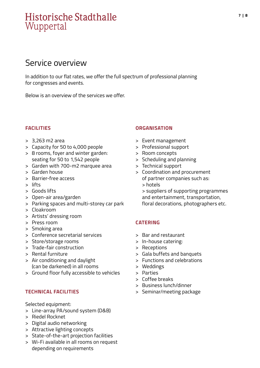#### Service overview

In addition to our flat rates, we offer the full spectrum of professional planning for congresses and events.

Below is an overview of the services we offer.

#### **FACILITIES**

- > 3,263 m2 area
- > Capacity for 50 to 4,000 people
- > 8 rooms, foyer and winter garden: seating for 50 to 1,542 people
- > Garden with 700-m2 marquee area
- > Garden house
- > Barrier-free access
- > lifts
- > Goods lifts
- > Open-air area/garden
- > Parking spaces and multi-storey car park
- > Cloakroom
- > Artists' dressing room
- > Press room
- > Smoking area
- > Conference secretarial services
- > Store/storage rooms
- > Trade-fair construction
- > Rental furniture
- > Air conditioning and daylight (can be darkened) in all rooms
- > Ground floor fully accessible to vehicles

#### **TECHNICAL FACILITIES**

Selected equipment:

- > Line-array PA/sound system (D&B)
- > Riedel Rocknet
- > Digital audio networking
- > Attractive lighting concepts
- > State-of-the-art projection facilities
- > Wi-Fi available in all rooms on request depending on requirements

#### **ORGANISATION**

- > Event management
- > Professional support
- > Room concepts
- > Scheduling and planning
- > Technical support
- > Coordination and procurement of partner companies such as: > hotels

> suppliers of supporting programmes and entertainment, transportation, floral decorations, photographers etc.

#### **CATERING**

- > Bar and restaurant
- > In-house catering:
- > Receptions
- > Gala buffets and banquets
- > Functions and celebrations
- > Weddings
- > Parties
- > Coffee breaks
- > Business lunch/dinner
- > Seminar/meeting package